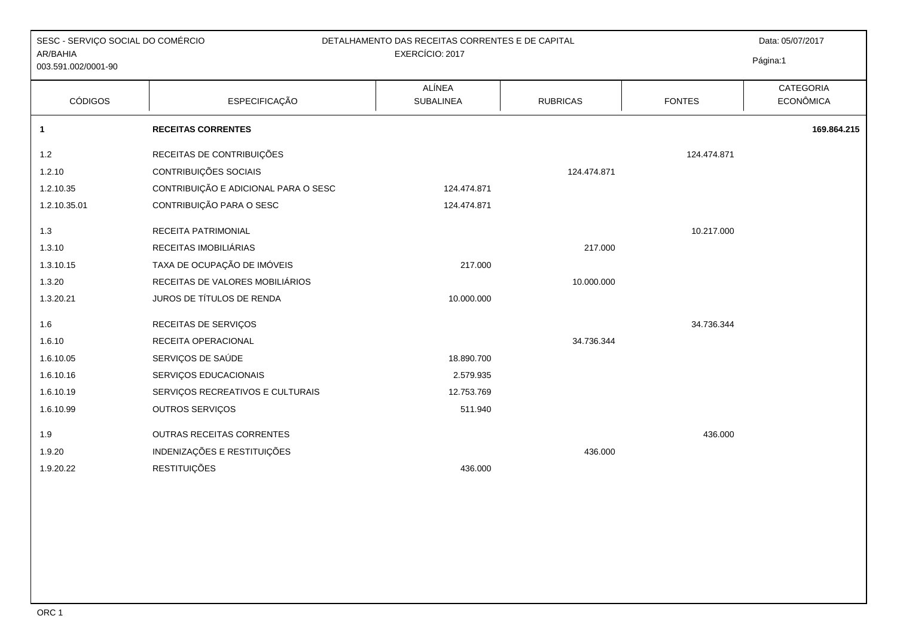| SESC - SERVIÇO SOCIAL DO COMÉRCIO<br>AR/BAHIA<br>003.591.002/0001-90 | DETALHAMENTO DAS RECEITAS CORRENTES E DE CAPITAL |                            | Data: 05/07/2017<br>Página:1 |               |                               |
|----------------------------------------------------------------------|--------------------------------------------------|----------------------------|------------------------------|---------------|-------------------------------|
| <b>CÓDIGOS</b>                                                       | <b>ESPECIFICAÇÃO</b>                             | ALÍNEA<br><b>SUBALINEA</b> | <b>RUBRICAS</b>              | <b>FONTES</b> | CATEGORIA<br><b>ECONÔMICA</b> |
| $\mathbf{1}$                                                         | <b>RECEITAS CORRENTES</b>                        |                            |                              |               | 169.864.215                   |
| $1.2$                                                                | RECEITAS DE CONTRIBUIÇÕES                        |                            |                              | 124.474.871   |                               |
| 1.2.10                                                               | CONTRIBUIÇÕES SOCIAIS                            |                            | 124.474.871                  |               |                               |
| 1.2.10.35                                                            | CONTRIBUIÇÃO E ADICIONAL PARA O SESC             | 124.474.871                |                              |               |                               |
| 1.2.10.35.01                                                         | CONTRIBUIÇÃO PARA O SESC                         | 124.474.871                |                              |               |                               |
| 1.3                                                                  | RECEITA PATRIMONIAL                              |                            |                              | 10.217.000    |                               |
| 1.3.10                                                               | RECEITAS IMOBILIÁRIAS                            |                            | 217.000                      |               |                               |
| 1.3.10.15                                                            | TAXA DE OCUPAÇÃO DE IMÓVEIS                      | 217.000                    |                              |               |                               |
| 1.3.20                                                               | RECEITAS DE VALORES MOBILIÁRIOS                  |                            | 10.000.000                   |               |                               |
| 1.3.20.21                                                            | JUROS DE TÍTULOS DE RENDA                        | 10.000.000                 |                              |               |                               |
| 1.6                                                                  | RECEITAS DE SERVIÇOS                             |                            |                              | 34.736.344    |                               |
| 1.6.10                                                               | RECEITA OPERACIONAL                              |                            | 34.736.344                   |               |                               |
| 1.6.10.05                                                            | SERVIÇOS DE SAÚDE                                | 18.890.700                 |                              |               |                               |
| 1.6.10.16                                                            | SERVIÇOS EDUCACIONAIS                            | 2.579.935                  |                              |               |                               |
| 1.6.10.19                                                            | SERVIÇOS RECREATIVOS E CULTURAIS                 | 12.753.769                 |                              |               |                               |
| 1.6.10.99                                                            | OUTROS SERVIÇOS                                  | 511.940                    |                              |               |                               |
| 1.9                                                                  | OUTRAS RECEITAS CORRENTES                        |                            |                              | 436.000       |                               |
| 1.9.20                                                               | INDENIZAÇÕES E RESTITUIÇÕES                      |                            | 436.000                      |               |                               |
| 1.9.20.22                                                            | <b>RESTITUIÇÕES</b>                              | 436.000                    |                              |               |                               |